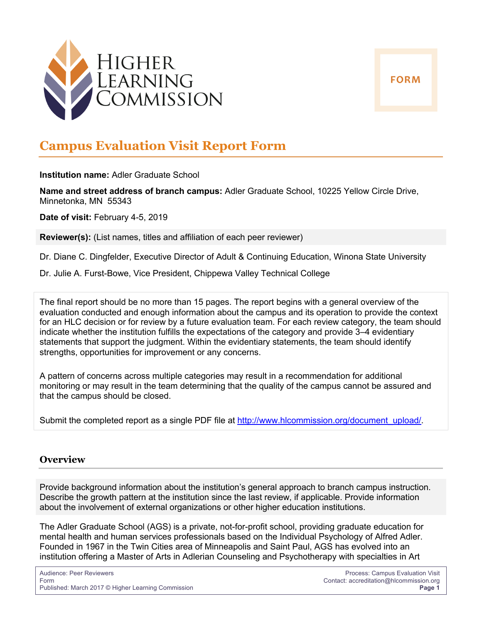



# **Campus Evaluation Visit Report Form**

**Institution name:** Adler Graduate School

**Name and street address of branch campus:** Adler Graduate School, 10225 Yellow Circle Drive, Minnetonka, MN 55343

**Date of visit:** February 4-5, 2019

**Reviewer(s):** (List names, titles and affiliation of each peer reviewer)

Dr. Diane C. Dingfelder, Executive Director of Adult & Continuing Education, Winona State University

Dr. Julie A. Furst-Bowe, Vice President, Chippewa Valley Technical College

The final report should be no more than 15 pages. The report begins with a general overview of the evaluation conducted and enough information about the campus and its operation to provide the context for an HLC decision or for review by a future evaluation team. For each review category, the team should indicate whether the institution fulfills the expectations of the category and provide 3–4 evidentiary statements that support the judgment. Within the evidentiary statements, the team should identify strengths, opportunities for improvement or any concerns.

A pattern of concerns across multiple categories may result in a recommendation for additional monitoring or may result in the team determining that the quality of the campus cannot be assured and that the campus should be closed.

Submit the completed report as a single PDF file at http://www.hlcommission.org/document\_upload/.

### **Overview**

Provide background information about the institution's general approach to branch campus instruction. Describe the growth pattern at the institution since the last review, if applicable. Provide information about the involvement of external organizations or other higher education institutions.

The Adler Graduate School (AGS) is a private, not-for-profit school, providing graduate education for mental health and human services professionals based on the Individual Psychology of Alfred Adler. Founded in 1967 in the Twin Cities area of Minneapolis and Saint Paul, AGS has evolved into an institution offering a Master of Arts in Adlerian Counseling and Psychotherapy with specialties in Art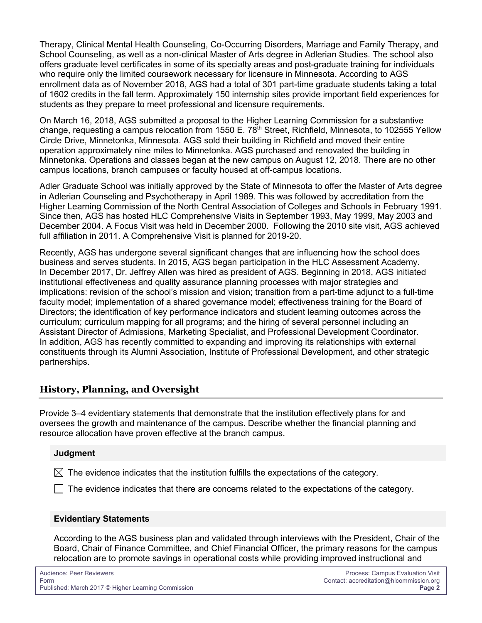Therapy, Clinical Mental Health Counseling, Co-Occurring Disorders, Marriage and Family Therapy, and School Counseling, as well as a non-clinical Master of Arts degree in Adlerian Studies. The school also offers graduate level certificates in some of its specialty areas and post-graduate training for individuals who require only the limited coursework necessary for licensure in Minnesota. According to AGS enrollment data as of November 2018, AGS had a total of 301 part-time graduate students taking a total of 1602 credits in the fall term. Approximately 150 internship sites provide important field experiences for students as they prepare to meet professional and licensure requirements.

On March 16, 2018, AGS submitted a proposal to the Higher Learning Commission for a substantive change, requesting a campus relocation from 1550 E.  $78<sup>th</sup>$  Street, Richfield, Minnesota, to 102555 Yellow Circle Drive, Minnetonka, Minnesota. AGS sold their building in Richfield and moved their entire operation approximately nine miles to Minnetonka. AGS purchased and renovated the building in Minnetonka. Operations and classes began at the new campus on August 12, 2018. There are no other campus locations, branch campuses or faculty housed at off-campus locations.

Adler Graduate School was initially approved by the State of Minnesota to offer the Master of Arts degree in Adlerian Counseling and Psychotherapy in April 1989. This was followed by accreditation from the Higher Learning Commission of the North Central Association of Colleges and Schools in February 1991. Since then, AGS has hosted HLC Comprehensive Visits in September 1993, May 1999, May 2003 and December 2004. A Focus Visit was held in December 2000. Following the 2010 site visit, AGS achieved full affiliation in 2011. A Comprehensive Visit is planned for 2019-20.

Recently, AGS has undergone several significant changes that are influencing how the school does business and serves students. In 2015, AGS began participation in the HLC Assessment Academy. In December 2017, Dr. Jeffrey Allen was hired as president of AGS. Beginning in 2018, AGS initiated institutional effectiveness and quality assurance planning processes with major strategies and implications: revision of the school's mission and vision; transition from a part-time adjunct to a full-time faculty model; implementation of a shared governance model; effectiveness training for the Board of Directors; the identification of key performance indicators and student learning outcomes across the curriculum; curriculum mapping for all programs; and the hiring of several personnel including an Assistant Director of Admissions, Marketing Specialist, and Professional Development Coordinator. In addition, AGS has recently committed to expanding and improving its relationships with external constituents through its Alumni Association, Institute of Professional Development, and other strategic partnerships.

# **History, Planning, and Oversight**

Provide 3–4 evidentiary statements that demonstrate that the institution effectively plans for and oversees the growth and maintenance of the campus. Describe whether the financial planning and resource allocation have proven effective at the branch campus.

#### **Judgment**

 $\boxtimes$  The evidence indicates that the institution fulfills the expectations of the category.

 $\Box$  The evidence indicates that there are concerns related to the expectations of the category.

#### **Evidentiary Statements**

According to the AGS business plan and validated through interviews with the President, Chair of the Board, Chair of Finance Committee, and Chief Financial Officer, the primary reasons for the campus relocation are to promote savings in operational costs while providing improved instructional and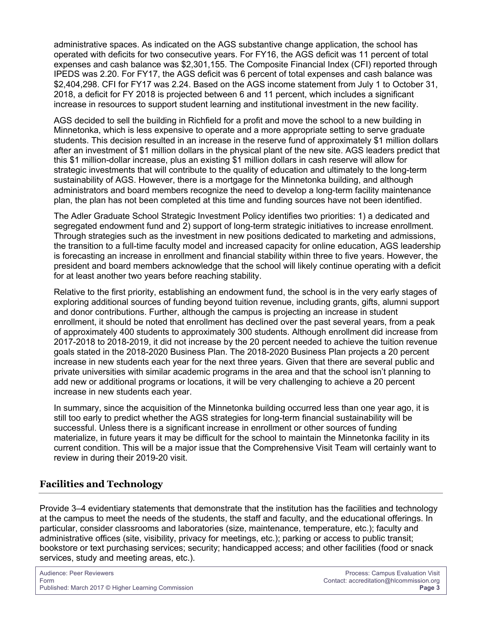administrative spaces. As indicated on the AGS substantive change application, the school has operated with deficits for two consecutive years. For FY16, the AGS deficit was 11 percent of total expenses and cash balance was \$2,301,155. The Composite Financial Index (CFI) reported through IPEDS was 2.20. For FY17, the AGS deficit was 6 percent of total expenses and cash balance was \$2,404,298. CFI for FY17 was 2.24. Based on the AGS income statement from July 1 to October 31, 2018, a deficit for FY 2018 is projected between 6 and 11 percent, which includes a significant increase in resources to support student learning and institutional investment in the new facility.

AGS decided to sell the building in Richfield for a profit and move the school to a new building in Minnetonka, which is less expensive to operate and a more appropriate setting to serve graduate students. This decision resulted in an increase in the reserve fund of approximately \$1 million dollars after an investment of \$1 million dollars in the physical plant of the new site. AGS leaders predict that this \$1 million-dollar increase, plus an existing \$1 million dollars in cash reserve will allow for strategic investments that will contribute to the quality of education and ultimately to the long-term sustainability of AGS. However, there is a mortgage for the Minnetonka building, and although administrators and board members recognize the need to develop a long-term facility maintenance plan, the plan has not been completed at this time and funding sources have not been identified.

The Adler Graduate School Strategic Investment Policy identifies two priorities: 1) a dedicated and segregated endowment fund and 2) support of long-term strategic initiatives to increase enrollment. Through strategies such as the investment in new positions dedicated to marketing and admissions, the transition to a full-time faculty model and increased capacity for online education, AGS leadership is forecasting an increase in enrollment and financial stability within three to five years. However, the president and board members acknowledge that the school will likely continue operating with a deficit for at least another two years before reaching stability.

Relative to the first priority, establishing an endowment fund, the school is in the very early stages of exploring additional sources of funding beyond tuition revenue, including grants, gifts, alumni support and donor contributions. Further, although the campus is projecting an increase in student enrollment, it should be noted that enrollment has declined over the past several years, from a peak of approximately 400 students to approximately 300 students. Although enrollment did increase from 2017-2018 to 2018-2019, it did not increase by the 20 percent needed to achieve the tuition revenue goals stated in the 2018-2020 Business Plan. The 2018-2020 Business Plan projects a 20 percent increase in new students each year for the next three years. Given that there are several public and private universities with similar academic programs in the area and that the school isn't planning to add new or additional programs or locations, it will be very challenging to achieve a 20 percent increase in new students each year.

In summary, since the acquisition of the Minnetonka building occurred less than one year ago, it is still too early to predict whether the AGS strategies for long-term financial sustainability will be successful. Unless there is a significant increase in enrollment or other sources of funding materialize, in future years it may be difficult for the school to maintain the Minnetonka facility in its current condition. This will be a major issue that the Comprehensive Visit Team will certainly want to review in during their 2019-20 visit.

# **Facilities and Technology**

Provide 3–4 evidentiary statements that demonstrate that the institution has the facilities and technology at the campus to meet the needs of the students, the staff and faculty, and the educational offerings. In particular, consider classrooms and laboratories (size, maintenance, temperature, etc.); faculty and administrative offices (site, visibility, privacy for meetings, etc.); parking or access to public transit; bookstore or text purchasing services; security; handicapped access; and other facilities (food or snack services, study and meeting areas, etc.).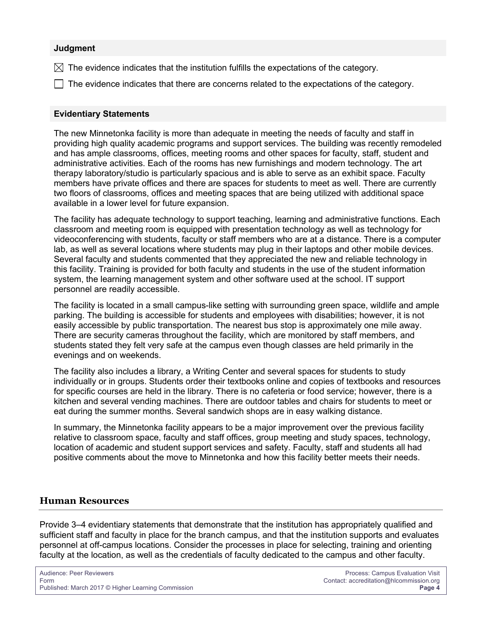#### **Judgment**

- $\boxtimes$  The evidence indicates that the institution fulfills the expectations of the category.
- $\Box$  The evidence indicates that there are concerns related to the expectations of the category.

#### **Evidentiary Statements**

The new Minnetonka facility is more than adequate in meeting the needs of faculty and staff in providing high quality academic programs and support services. The building was recently remodeled and has ample classrooms, offices, meeting rooms and other spaces for faculty, staff, student and administrative activities. Each of the rooms has new furnishings and modern technology. The art therapy laboratory/studio is particularly spacious and is able to serve as an exhibit space. Faculty members have private offices and there are spaces for students to meet as well. There are currently two floors of classrooms, offices and meeting spaces that are being utilized with additional space available in a lower level for future expansion.

The facility has adequate technology to support teaching, learning and administrative functions. Each classroom and meeting room is equipped with presentation technology as well as technology for videoconferencing with students, faculty or staff members who are at a distance. There is a computer lab, as well as several locations where students may plug in their laptops and other mobile devices. Several faculty and students commented that they appreciated the new and reliable technology in this facility. Training is provided for both faculty and students in the use of the student information system, the learning management system and other software used at the school. IT support personnel are readily accessible.

The facility is located in a small campus-like setting with surrounding green space, wildlife and ample parking. The building is accessible for students and employees with disabilities; however, it is not easily accessible by public transportation. The nearest bus stop is approximately one mile away. There are security cameras throughout the facility, which are monitored by staff members, and students stated they felt very safe at the campus even though classes are held primarily in the evenings and on weekends.

The facility also includes a library, a Writing Center and several spaces for students to study individually or in groups. Students order their textbooks online and copies of textbooks and resources for specific courses are held in the library. There is no cafeteria or food service; however, there is a kitchen and several vending machines. There are outdoor tables and chairs for students to meet or eat during the summer months. Several sandwich shops are in easy walking distance.

In summary, the Minnetonka facility appears to be a major improvement over the previous facility relative to classroom space, faculty and staff offices, group meeting and study spaces, technology, location of academic and student support services and safety. Faculty, staff and students all had positive comments about the move to Minnetonka and how this facility better meets their needs.

#### **Human Resources**

Provide 3–4 evidentiary statements that demonstrate that the institution has appropriately qualified and sufficient staff and faculty in place for the branch campus, and that the institution supports and evaluates personnel at off-campus locations. Consider the processes in place for selecting, training and orienting faculty at the location, as well as the credentials of faculty dedicated to the campus and other faculty.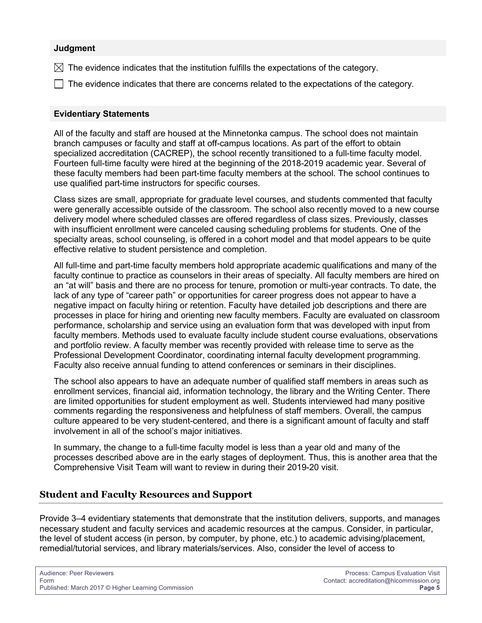#### **Judgment**

- $\boxtimes$  The evidence indicates that the institution fulfills the expectations of the category.
- $\Box$  The evidence indicates that there are concerns related to the expectations of the category.

#### **Evidentiary Statements**

All of the faculty and staff are housed at the Minnetonka campus. The school does not maintain branch campuses or faculty and staff at off-campus locations. As part of the effort to obtain specialized accreditation (CACREP), the school recently transitioned to a full-time faculty model. Fourteen full-time faculty were hired at the beginning of the 2018-2019 academic year. Several of these faculty members had been part-time faculty members at the school. The school continues to use qualified part-time instructors for specific courses.

Class sizes are small, appropriate for graduate level courses, and students commented that faculty were generally accessible outside of the classroom. The school also recently moved to a new course delivery model where scheduled classes are offered regardless of class sizes. Previously, classes with insufficient enrollment were canceled causing scheduling problems for students. One of the specialty areas, school counseling, is offered in a cohort model and that model appears to be quite effective relative to student persistence and completion.

All full-time and part-time faculty members hold appropriate academic qualifications and many of the faculty continue to practice as counselors in their areas of specialty. All faculty members are hired on an "at will" basis and there are no process for tenure, promotion or multi-year contracts. To date, the lack of any type of "career path" or opportunities for career progress does not appear to have a negative impact on faculty hiring or retention. Faculty have detailed job descriptions and there are processes in place for hiring and orienting new faculty members. Faculty are evaluated on classroom performance, scholarship and service using an evaluation form that was developed with input from faculty members. Methods used to evaluate faculty include student course evaluations, observations and portfolio review. A faculty member was recently provided with release time to serve as the Professional Development Coordinator, coordinating internal faculty development programming. Faculty also receive annual funding to attend conferences or seminars in their disciplines.

The school also appears to have an adequate number of qualified staff members in areas such as enrollment services, financial aid, information technology, the library and the Writing Center. There are limited opportunities for student employment as well. Students interviewed had many positive comments regarding the responsiveness and helpfulness of staff members. Overall, the campus culture appeared to be very student-centered, and there is a significant amount of faculty and staff involvement in all of the school's major initiatives.

In summary, the change to a full-time faculty model is less than a year old and many of the processes described above are in the early stages of deployment. Thus, this is another area that the Comprehensive Visit Team will want to review in during their 2019-20 visit.

## **Student and Faculty Resources and Support**

Provide 3–4 evidentiary statements that demonstrate that the institution delivers, supports, and manages necessary student and faculty services and academic resources at the campus. Consider, in particular, the level of student access (in person, by computer, by phone, etc.) to academic advising/placement, remedial/tutorial services, and library materials/services. Also, consider the level of access to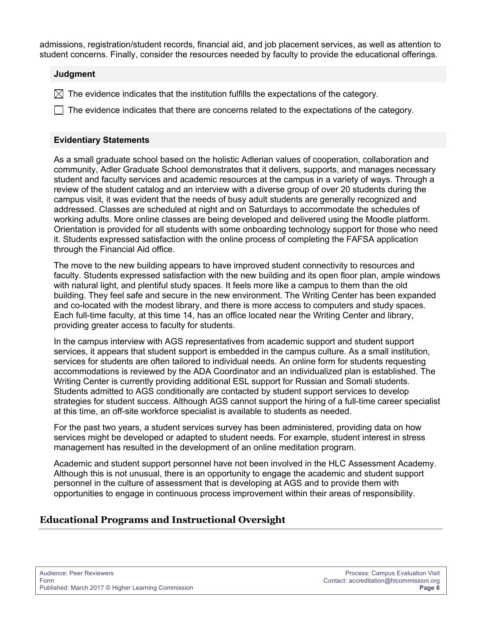admissions, registration/student records, financial aid, and job placement services, as well as attention to student concerns. Finally, consider the resources needed by faculty to provide the educational offerings.

#### **Judgment**

 $\boxtimes$  The evidence indicates that the institution fulfills the expectations of the category.

 $\Box$  The evidence indicates that there are concerns related to the expectations of the category.

#### **Evidentiary Statements**

As a small graduate school based on the holistic Adlerian values of cooperation, collaboration and community, Adler Graduate School demonstrates that it delivers, supports, and manages necessary student and faculty services and academic resources at the campus in a variety of ways. Through a review of the student catalog and an interview with a diverse group of over 20 students during the campus visit, it was evident that the needs of busy adult students are generally recognized and addressed. Classes are scheduled at night and on Saturdays to accommodate the schedules of working adults. More online classes are being developed and delivered using the Moodle platform. Orientation is provided for all students with some onboarding technology support for those who need it. Students expressed satisfaction with the online process of completing the FAFSA application through the Financial Aid office.

The move to the new building appears to have improved student connectivity to resources and faculty. Students expressed satisfaction with the new building and its open floor plan, ample windows with natural light, and plentiful study spaces. It feels more like a campus to them than the old building. They feel safe and secure in the new environment. The Writing Center has been expanded and co-located with the modest library, and there is more access to computers and study spaces. Each full-time faculty, at this time 14, has an office located near the Writing Center and library, providing greater access to faculty for students.

In the campus interview with AGS representatives from academic support and student support services, it appears that student support is embedded in the campus culture. As a small institution, services for students are often tailored to individual needs. An online form for students requesting accommodations is reviewed by the ADA Coordinator and an individualized plan is established. The Writing Center is currently providing additional ESL support for Russian and Somali students. Students admitted to AGS conditionally are contacted by student support services to develop strategies for student success. Although AGS cannot support the hiring of a full-time career specialist at this time, an off-site workforce specialist is available to students as needed.

For the past two years, a student services survey has been administered, providing data on how services might be developed or adapted to student needs. For example, student interest in stress management has resulted in the development of an online meditation program.

Academic and student support personnel have not been involved in the HLC Assessment Academy. Although this is not unusual, there is an opportunity to engage the academic and student support personnel in the culture of assessment that is developing at AGS and to provide them with opportunities to engage in continuous process improvement within their areas of responsibility.

# **Educational Programs and Instructional Oversight**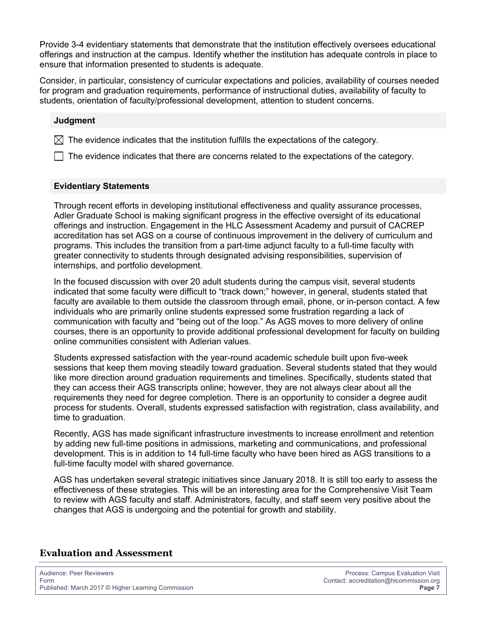Provide 3-4 evidentiary statements that demonstrate that the institution effectively oversees educational offerings and instruction at the campus. Identify whether the institution has adequate controls in place to ensure that information presented to students is adequate.

Consider, in particular, consistency of curricular expectations and policies, availability of courses needed for program and graduation requirements, performance of instructional duties, availability of faculty to students, orientation of faculty/professional development, attention to student concerns.

#### **Judgment**

 $\boxtimes$  The evidence indicates that the institution fulfills the expectations of the category.

 $\Box$  The evidence indicates that there are concerns related to the expectations of the category.

#### **Evidentiary Statements**

Through recent efforts in developing institutional effectiveness and quality assurance processes, Adler Graduate School is making significant progress in the effective oversight of its educational offerings and instruction. Engagement in the HLC Assessment Academy and pursuit of CACREP accreditation has set AGS on a course of continuous improvement in the delivery of curriculum and programs. This includes the transition from a part-time adjunct faculty to a full-time faculty with greater connectivity to students through designated advising responsibilities, supervision of internships, and portfolio development.

In the focused discussion with over 20 adult students during the campus visit, several students indicated that some faculty were difficult to "track down;" however, in general, students stated that faculty are available to them outside the classroom through email, phone, or in-person contact. A few individuals who are primarily online students expressed some frustration regarding a lack of communication with faculty and "being out of the loop." As AGS moves to more delivery of online courses, there is an opportunity to provide additional professional development for faculty on building online communities consistent with Adlerian values.

Students expressed satisfaction with the year-round academic schedule built upon five-week sessions that keep them moving steadily toward graduation. Several students stated that they would like more direction around graduation requirements and timelines. Specifically, students stated that they can access their AGS transcripts online; however, they are not always clear about all the requirements they need for degree completion. There is an opportunity to consider a degree audit process for students. Overall, students expressed satisfaction with registration, class availability, and time to graduation.

Recently, AGS has made significant infrastructure investments to increase enrollment and retention by adding new full-time positions in admissions, marketing and communications, and professional development. This is in addition to 14 full-time faculty who have been hired as AGS transitions to a full-time faculty model with shared governance.

AGS has undertaken several strategic initiatives since January 2018. It is still too early to assess the effectiveness of these strategies. This will be an interesting area for the Comprehensive Visit Team to review with AGS faculty and staff. Administrators, faculty, and staff seem very positive about the changes that AGS is undergoing and the potential for growth and stability.

#### **Evaluation and Assessment**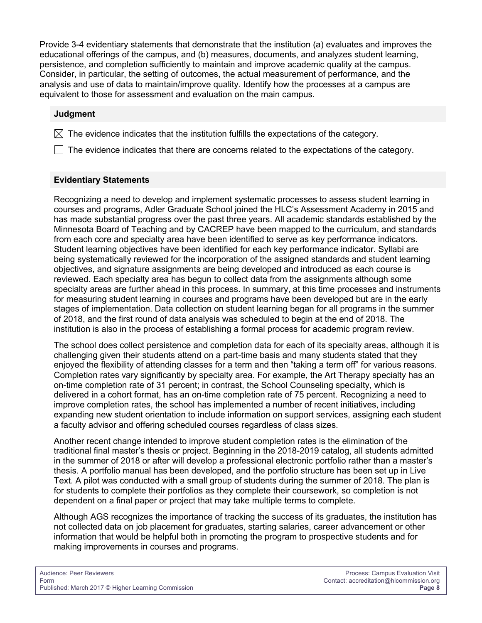Provide 3-4 evidentiary statements that demonstrate that the institution (a) evaluates and improves the educational offerings of the campus, and (b) measures, documents, and analyzes student learning, persistence, and completion sufficiently to maintain and improve academic quality at the campus. Consider, in particular, the setting of outcomes, the actual measurement of performance, and the analysis and use of data to maintain/improve quality. Identify how the processes at a campus are equivalent to those for assessment and evaluation on the main campus.

#### **Judgment**

 $\boxtimes$  The evidence indicates that the institution fulfills the expectations of the category.

 $\Box$  The evidence indicates that there are concerns related to the expectations of the category.

## **Evidentiary Statements**

Recognizing a need to develop and implement systematic processes to assess student learning in courses and programs, Adler Graduate School joined the HLC's Assessment Academy in 2015 and has made substantial progress over the past three years. All academic standards established by the Minnesota Board of Teaching and by CACREP have been mapped to the curriculum, and standards from each core and specialty area have been identified to serve as key performance indicators. Student learning objectives have been identified for each key performance indicator. Syllabi are being systematically reviewed for the incorporation of the assigned standards and student learning objectives, and signature assignments are being developed and introduced as each course is reviewed. Each specialty area has begun to collect data from the assignments although some specialty areas are further ahead in this process. In summary, at this time processes and instruments for measuring student learning in courses and programs have been developed but are in the early stages of implementation. Data collection on student learning began for all programs in the summer of 2018, and the first round of data analysis was scheduled to begin at the end of 2018. The institution is also in the process of establishing a formal process for academic program review.

The school does collect persistence and completion data for each of its specialty areas, although it is challenging given their students attend on a part-time basis and many students stated that they enjoyed the flexibility of attending classes for a term and then "taking a term off" for various reasons. Completion rates vary significantly by specialty area. For example, the Art Therapy specialty has an on-time completion rate of 31 percent; in contrast, the School Counseling specialty, which is delivered in a cohort format, has an on-time completion rate of 75 percent. Recognizing a need to improve completion rates, the school has implemented a number of recent initiatives, including expanding new student orientation to include information on support services, assigning each student a faculty advisor and offering scheduled courses regardless of class sizes.

Another recent change intended to improve student completion rates is the elimination of the traditional final master's thesis or project. Beginning in the 2018-2019 catalog, all students admitted in the summer of 2018 or after will develop a professional electronic portfolio rather than a master's thesis. A portfolio manual has been developed, and the portfolio structure has been set up in Live Text. A pilot was conducted with a small group of students during the summer of 2018. The plan is for students to complete their portfolios as they complete their coursework, so completion is not dependent on a final paper or project that may take multiple terms to complete.

Although AGS recognizes the importance of tracking the success of its graduates, the institution has not collected data on job placement for graduates, starting salaries, career advancement or other information that would be helpful both in promoting the program to prospective students and for making improvements in courses and programs.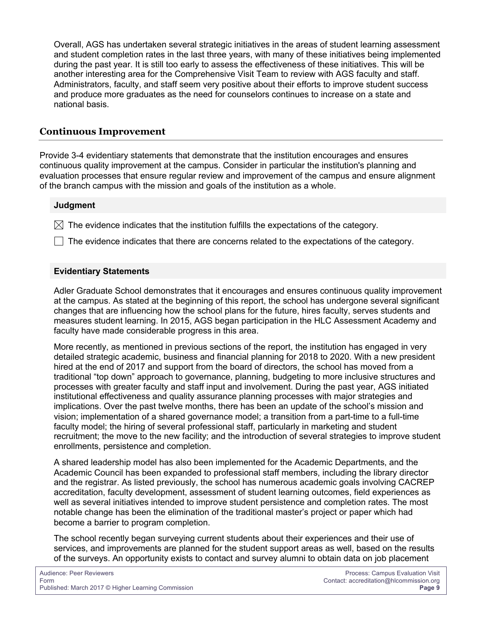Overall, AGS has undertaken several strategic initiatives in the areas of student learning assessment and student completion rates in the last three years, with many of these initiatives being implemented during the past year. It is still too early to assess the effectiveness of these initiatives. This will be another interesting area for the Comprehensive Visit Team to review with AGS faculty and staff. Administrators, faculty, and staff seem very positive about their efforts to improve student success and produce more graduates as the need for counselors continues to increase on a state and national basis.

# **Continuous Improvement**

Provide 3-4 evidentiary statements that demonstrate that the institution encourages and ensures continuous quality improvement at the campus. Consider in particular the institution's planning and evaluation processes that ensure regular review and improvement of the campus and ensure alignment of the branch campus with the mission and goals of the institution as a whole.

### **Judgment**

 $\boxtimes$  The evidence indicates that the institution fulfills the expectations of the category.

The evidence indicates that there are concerns related to the expectations of the category.

## **Evidentiary Statements**

Adler Graduate School demonstrates that it encourages and ensures continuous quality improvement at the campus. As stated at the beginning of this report, the school has undergone several significant changes that are influencing how the school plans for the future, hires faculty, serves students and measures student learning. In 2015, AGS began participation in the HLC Assessment Academy and faculty have made considerable progress in this area.

More recently, as mentioned in previous sections of the report, the institution has engaged in very detailed strategic academic, business and financial planning for 2018 to 2020. With a new president hired at the end of 2017 and support from the board of directors, the school has moved from a traditional "top down" approach to governance, planning, budgeting to more inclusive structures and processes with greater faculty and staff input and involvement. During the past year, AGS initiated institutional effectiveness and quality assurance planning processes with major strategies and implications. Over the past twelve months, there has been an update of the school's mission and vision; implementation of a shared governance model; a transition from a part-time to a full-time faculty model; the hiring of several professional staff, particularly in marketing and student recruitment; the move to the new facility; and the introduction of several strategies to improve student enrollments, persistence and completion.

A shared leadership model has also been implemented for the Academic Departments, and the Academic Council has been expanded to professional staff members, including the library director and the registrar. As listed previously, the school has numerous academic goals involving CACREP accreditation, faculty development, assessment of student learning outcomes, field experiences as well as several initiatives intended to improve student persistence and completion rates. The most notable change has been the elimination of the traditional master's project or paper which had become a barrier to program completion.

The school recently began surveying current students about their experiences and their use of services, and improvements are planned for the student support areas as well, based on the results of the surveys. An opportunity exists to contact and survey alumni to obtain data on job placement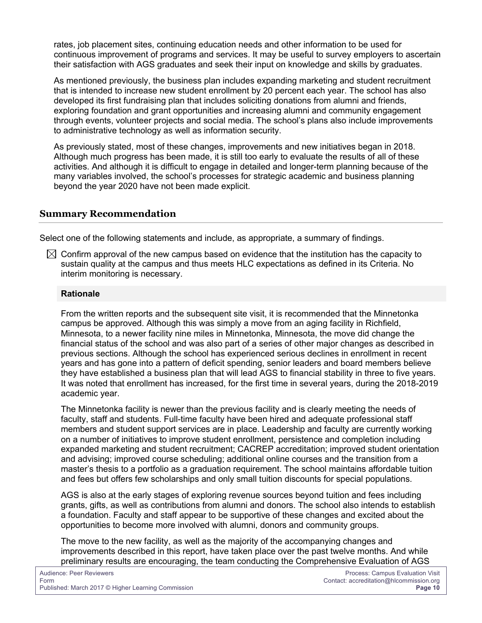rates, job placement sites, continuing education needs and other information to be used for continuous improvement of programs and services. It may be useful to survey employers to ascertain their satisfaction with AGS graduates and seek their input on knowledge and skills by graduates.

As mentioned previously, the business plan includes expanding marketing and student recruitment that is intended to increase new student enrollment by 20 percent each year. The school has also developed its first fundraising plan that includes soliciting donations from alumni and friends, exploring foundation and grant opportunities and increasing alumni and community engagement through events, volunteer projects and social media. The school's plans also include improvements to administrative technology as well as information security.

As previously stated, most of these changes, improvements and new initiatives began in 2018. Although much progress has been made, it is still too early to evaluate the results of all of these activities. And although it is difficult to engage in detailed and longer-term planning because of the many variables involved, the school's processes for strategic academic and business planning beyond the year 2020 have not been made explicit.

# **Summary Recommendation**

Select one of the following statements and include, as appropriate, a summary of findings.

 $\boxtimes$  Confirm approval of the new campus based on evidence that the institution has the capacity to sustain quality at the campus and thus meets HLC expectations as defined in its Criteria. No interim monitoring is necessary.

## **Rationale**

From the written reports and the subsequent site visit, it is recommended that the Minnetonka campus be approved. Although this was simply a move from an aging facility in Richfield, Minnesota, to a newer facility nine miles in Minnetonka, Minnesota, the move did change the financial status of the school and was also part of a series of other major changes as described in previous sections. Although the school has experienced serious declines in enrollment in recent years and has gone into a pattern of deficit spending, senior leaders and board members believe they have established a business plan that will lead AGS to financial stability in three to five years. It was noted that enrollment has increased, for the first time in several years, during the 2018-2019 academic year.

The Minnetonka facility is newer than the previous facility and is clearly meeting the needs of faculty, staff and students. Full-time faculty have been hired and adequate professional staff members and student support services are in place. Leadership and faculty are currently working on a number of initiatives to improve student enrollment, persistence and completion including expanded marketing and student recruitment; CACREP accreditation; improved student orientation and advising; improved course scheduling; additional online courses and the transition from a master's thesis to a portfolio as a graduation requirement. The school maintains affordable tuition and fees but offers few scholarships and only small tuition discounts for special populations.

AGS is also at the early stages of exploring revenue sources beyond tuition and fees including grants, gifts, as well as contributions from alumni and donors. The school also intends to establish a foundation. Faculty and staff appear to be supportive of these changes and excited about the opportunities to become more involved with alumni, donors and community groups.

The move to the new facility, as well as the majority of the accompanying changes and improvements described in this report, have taken place over the past twelve months. And while preliminary results are encouraging, the team conducting the Comprehensive Evaluation of AGS